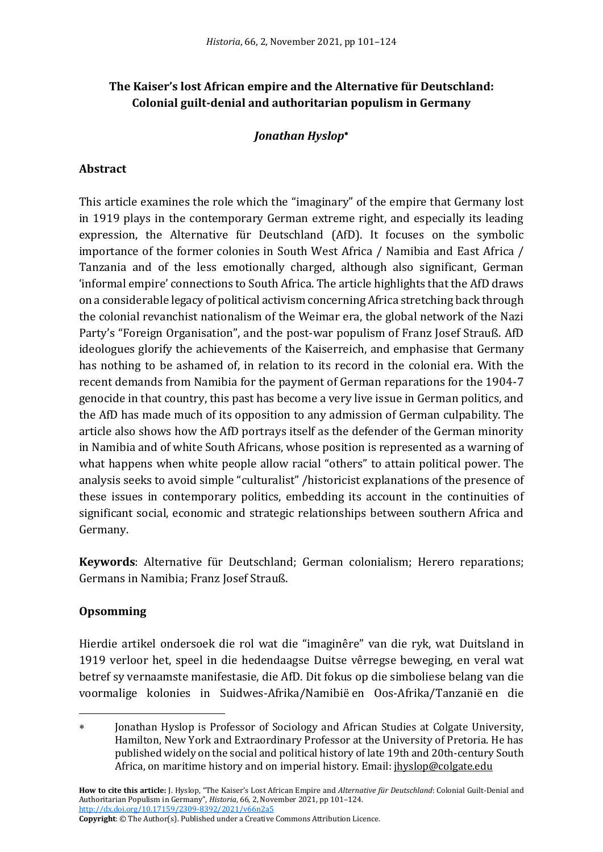# **The Kaiser's lost African empire and the Alternative für Deutschland: Colonial guilt-denial and authoritarian populism in Germany**

## *Jonathan Hyslop*

## **Abstract**

This article examines the role which the "imaginary" of the empire that Germany lost in 1919 plays in the contemporary German extreme right, and especially its leading expression, the Alternative für Deutschland (AfD). It focuses on the symbolic importance of the former colonies in South West Africa / Namibia and East Africa / Tanzania and of the less emotionally charged, although also significant, German 'informal empire' connections to South Africa. The article highlights that the AfD draws on a considerable legacy of political activism concerning Africa stretching back through the colonial revanchist nationalism of the Weimar era, the global network of the Nazi Party's "Foreign Organisation", and the post-war populism of Franz Josef Strauß. AfD ideologues glorify the achievements of the Kaiserreich, and emphasise that Germany has nothing to be ashamed of, in relation to its record in the colonial era. With the recent demands from Namibia for the payment of German reparations for the 1904-7 genocide in that country, this past has become a very live issue in German politics, and the AfD has made much of its opposition to any admission of German culpability. The article also shows how the AfD portrays itself as the defender of the German minority in Namibia and of white South Africans, whose position is represented as a warning of what happens when white people allow racial "others" to attain political power. The analysis seeks to avoid simple "culturalist" /historicist explanations of the presence of these issues in contemporary politics, embedding its account in the continuities of significant social, economic and strategic relationships between southern Africa and Germany.

**Keywords**: Alternative für Deutschland; German colonialism; Herero reparations; Germans in Namibia; Franz Josef Strauß.

### **Opsomming**

Hierdie artikel ondersoek die rol wat die "imaginêre" van die ryk, wat Duitsland in 1919 verloor het, speel in die hedendaagse Duitse vêrregse beweging, en veral wat betref sy vernaamste manifestasie, die AfD. Dit fokus op die simboliese belang van die voormalige kolonies in Suidwes-Afrika/Namibië en Oos-Afrika/Tanzanië en die

**How to cite this article:** J. Hyslop, "The Kaiser's Lost African Empire and *Alternative ğr Deutschland*: Colonial Guilt-Denial and Authoritarian Populism in Germany", *Historia*, 66, 2, November 2021, pp 101–124. [http://dx.doi.org/10.17159/2309-8392/2021/v66n2a5](http://dx.doi.org/10.17159/2309-8392/2021/v66n2a1)

**Copyright**: © The Author(s). Published under a Creative Commons Attribution Licence.

Jonathan Hyslop is Professor of Sociology and African Studies at Colgate University, Hamilton, New York and Extraordinary Professor at the University of Pretoria. He has published widely on the social and political history of late 19th and 20th-century South Africa, on maritime history and on imperial history. Email: jhyslop@colgate.edu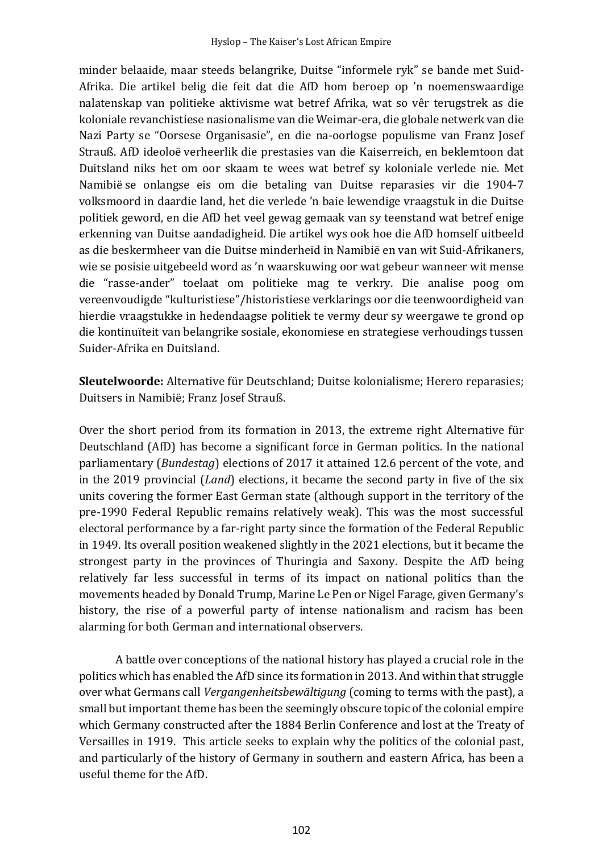minder belaaide, maar steeds belangrike, Duitse "informele ryk" se bande met Suid-Afrika. Die artikel belig die feit dat die AfD hom beroep op 'n noemenswaardige nalatenskap van politieke aktivisme wat betref Afrika, wat so vêr terugstrek as die koloniale revanchistiese nasionalisme van die Weimar-era, die globale netwerk van die Nazi Party se "Oorsese Organisasie", en die na-oorlogse populisme van Franz Josef Strauß. AfD ideoloë verheerlik die prestasies van die Kaiserreich, en beklemtoon dat Duitsland niks het om oor skaam te wees wat betref sy koloniale verlede nie. Met Namibië se onlangse eis om die betaling van Duitse reparasies vir die 1904-7 volksmoord in daardie land, het die verlede 'n baie lewendige vraagstuk in die Duitse politiek geword, en die AfD het veel gewag gemaak van sy teenstand wat betref enige erkenning van Duitse aandadigheid. Die artikel wys ook hoe die AfD homself uitbeeld as die beskermheer van die Duitse minderheid in Namibië en van wit Suid-Afrikaners, wie se posisie uitgebeeld word as 'n waarskuwing oor wat gebeur wanneer wit mense die "rasse-ander" toelaat om politieke mag te verkry. Die analise poog om vereenvoudigde "kulturistiese"/historistiese verklarings oor die teenwoordigheid van hierdie vraagstukke in hedendaagse politiek te vermy deur sy weergawe te grond op die kontinuïteit van belangrike sosiale, ekonomiese en strategiese verhoudings tussen Suider-Afrika en Duitsland.

**Sleutelwoorde:** Alternative für Deutschland; Duitse kolonialisme; Herero reparasies; Duitsers in Namibië; Franz Josef Strauß.

Over the short period from its formation in 2013, the extreme right Alternative für Deutschland (AfD) has become a significant force in German politics. In the national parliamentary (*Bundestag*) elections of 2017 it attained 12.6 percent of the vote, and in the 2019 provincial (*Land*) elections, it became the second party in five of the six units covering the former East German state (although support in the territory of the pre-1990 Federal Republic remains relatively weak). This was the most successful electoral performance by a far-right party since the formation of the Federal Republic in 1949. Its overall position weakened slightly in the 2021 elections, but it became the strongest party in the provinces of Thuringia and Saxony. Despite the AfD being relatively far less successful in terms of its impact on national politics than the movements headed by Donald Trump, Marine Le Pen or Nigel Farage, given Germany's history, the rise of a powerful party of intense nationalism and racism has been alarming for both German and international observers.

A battle over conceptions of the national history has played a crucial role in the politics which has enabled the AfD since its formation in 2013. And within that struggle over what Germans call *Vergangenheitsbewältigung* (coming to terms with the past), a small but important theme has been the seemingly obscure topic of the colonial empire which Germany constructed after the 1884 Berlin Conference and lost at the Treaty of Versailles in 1919. This article seeks to explain why the politics of the colonial past, and particularly of the history of Germany in southern and eastern Africa, has been a useful theme for the AfD.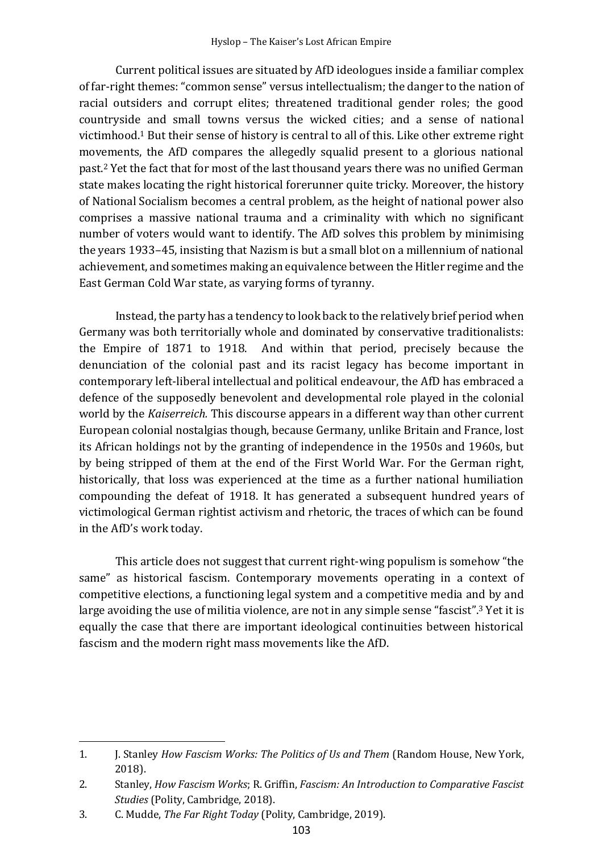Current political issues are situated by AfD ideologues inside a familiar complex of far-right themes:"common sense" versus intellectualism; the danger to the nation of racial outsiders and corrupt elites; threatened traditional gender roles; the good countryside and small towns versus the wicked cities; and a sense of national victimhood.<sup>1</sup> But their sense of history is central to all of this. Like other extreme right movements, the AfD compares the allegedly squalid present to a glorious national past.<sup>2</sup> Yet the fact that for most of the last thousand years there was no unified German state makes locating the right historical forerunner quite tricky. Moreover, the history of National Socialism becomes a central problem, as the height of national power also comprises a massive national trauma and a criminality with which no significant number of voters would want to identify. The AfD solves this problem by minimising the years 1933–45, insisting that Nazism is but a small blot on a millennium of national achievement, and sometimes making an equivalence between the Hitler regime and the East German Cold War state, as varying forms of tyranny.

Instead, the party has a tendency to look back to the relatively brief period when Germany was both territorially whole and dominated by conservative traditionalists: the Empire of 1871 to 1918. And within that period, precisely because the denunciation of the colonial past and its racist legacy has become important in contemporary left-liberal intellectual and political endeavour, the AfD has embraced a defence of the supposedly benevolent and developmental role played in the colonial world by the *Kaiserreich.* This discourse appears in a different way than other current European colonial nostalgias though, because Germany, unlike Britain and France, lost its African holdings not by the granting of independence in the 1950s and 1960s, but by being stripped of them at the end of the First World War. For the German right, historically, that loss was experienced at the time as a further national humiliation compounding the defeat of 1918. It has generated a subsequent hundred years of victimological German rightist activism and rhetoric, the traces of which can be found in the AfD's work today.

This article does not suggest that current right-wing populism is somehow "the same" as historical fascism. Contemporary movements operating in a context of competitive elections, a functioning legal system and a competitive media and by and large avoiding the use of militia violence, are not in any simple sense "fascist".<sup>3</sup> Yet it is equally the case that there are important ideological continuities between historical fascism and the modern right mass movements like the AfD.

<sup>1.</sup> J. Stanley *How Fascism Works: The Politics of Us and Them* (Random House, New York, 2018).

<sup>2.</sup> Stanley, *How Fascism Works*; R. Griffin, *Fascism: An Introduction to Comparative Fascist Studies* (Polity, Cambridge, 2018).

<sup>3.</sup> C. Mudde, *The Far Right Today* (Polity, Cambridge, 2019).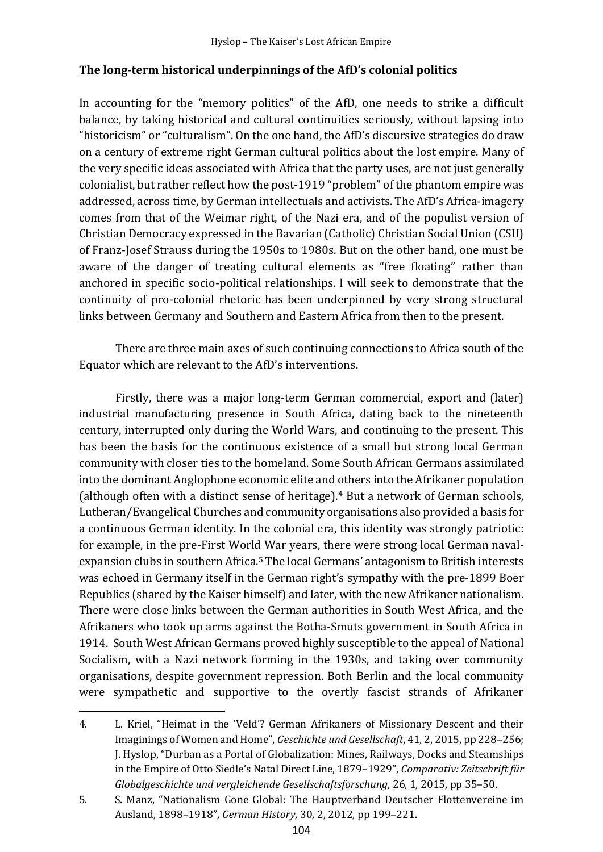# **The long-term historical underpinnings of the AfD's colonial politics**

In accounting for the "memory politics" of the AfD, one needs to strike a difficult balance, by taking historical and cultural continuities seriously, without lapsing into "historicism" or "culturalism". On the one hand, the AfD's discursive strategies do draw on a century of extreme right German cultural politics about the lost empire. Many of the very specific ideas associated with Africa that the party uses, are not just generally colonialist, but rather reflect how the post-1919 "problem" of the phantom empire was addressed, across time, by German intellectuals and activists. The AfD's Africa-imagery comes from that of the Weimar right, of the Nazi era, and of the populist version of Christian Democracy expressed in the Bavarian (Catholic) Christian Social Union (CSU) of Franz-Josef Strauss during the 1950s to 1980s. But on the other hand, one must be aware of the danger of treating cultural elements as "free floating" rather than anchored in specific socio-political relationships. I will seek to demonstrate that the continuity of pro-colonial rhetoric has been underpinned by very strong structural links between Germany and Southern and Eastern Africa from then to the present.

There are three main axes of such continuing connections to Africa south of the Equator which are relevant to the AfD's interventions.

Firstly, there was a major long-term German commercial, export and (later) industrial manufacturing presence in South Africa, dating back to the nineteenth century, interrupted only during the World Wars, and continuing to the present. This has been the basis for the continuous existence of a small but strong local German community with closer ties to the homeland. Some South African Germans assimilated into the dominant Anglophone economic elite and others into the Afrikaner population (although often with a distinct sense of heritage). <sup>4</sup> But a network of German schools, Lutheran/Evangelical Churches and community organisations also provided a basis for a continuous German identity. In the colonial era, this identity was strongly patriotic: for example, in the pre-First World War years, there were strong local German navalexpansion clubs in southern Africa.<sup>5</sup> The local Germans' antagonism to British interests was echoed in Germany itself in the German right's sympathy with the pre-1899 Boer Republics (shared by the Kaiser himself) and later, with the new Afrikaner nationalism. There were close links between the German authorities in South West Africa, and the Afrikaners who took up arms against the Botha-Smuts government in South Africa in 1914. South West African Germans proved highly susceptible to the appeal of National Socialism, with a Nazi network forming in the 1930s, and taking over community organisations, despite government repression. Both Berlin and the local community were sympathetic and supportive to the overtly fascist strands of Afrikaner

<sup>4.</sup> L. Kriel, "Heimat in the 'Veld'? German Afrikaners of Missionary Descent and their Imaginings of Women and Home", *Geschichte und Gesellschaft*, 41, 2, 2015, pp 228–256; J. Hyslop, "Durban as a Portal of Globalization: Mines, Railways, Docks and Steamships in the Empire of Otto Siedle's Natal Direct Line, 1879–1929", *Comparativ: Zeitschrift für Globalgeschichte und vergleichende Gesellschaftsforschung*, 26, 1, 2015, pp 35–50.

<sup>5.</sup> S. Manz, "Nationalism Gone Global: The Hauptverband Deutscher Flottenvereine im Ausland, 1898–1918", *German History*, 30, 2, 2012, pp 199–221.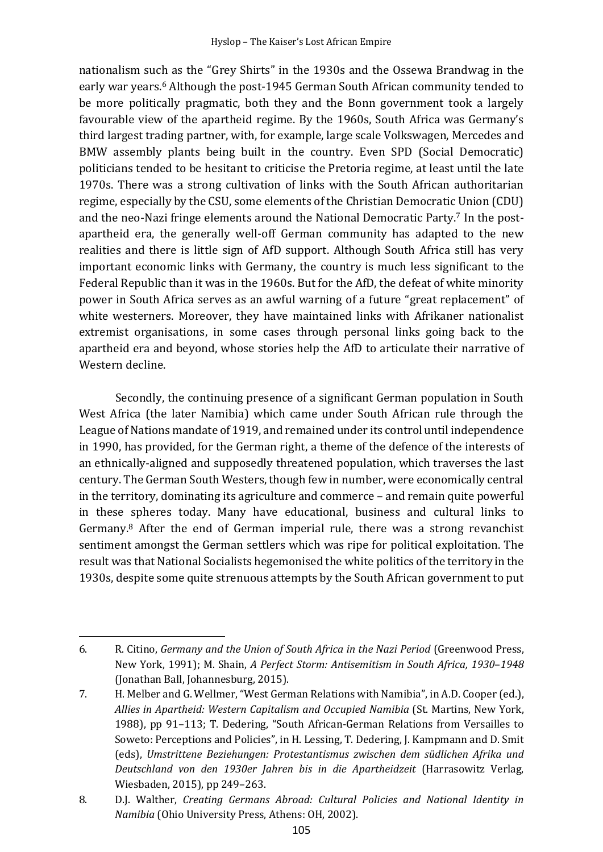nationalism such as the "Grey Shirts" in the 1930s and the Ossewa Brandwag in the early war years. <sup>6</sup> Although the post-1945 German South African community tended to be more politically pragmatic, both they and the Bonn government took a largely favourable view of the apartheid regime. By the 1960s, South Africa was Germany's third largest trading partner, with, for example, large scale Volkswagen, Mercedes and BMW assembly plants being built in the country. Even SPD (Social Democratic) politicians tended to be hesitant to criticise the Pretoria regime, at least until the late 1970s. There was a strong cultivation of links with the South African authoritarian regime, especially by the CSU, some elements of the Christian Democratic Union (CDU) and the neo-Nazi fringe elements around the National Democratic Party. <sup>7</sup> In the postapartheid era, the generally well-off German community has adapted to the new realities and there is little sign of AfD support. Although South Africa still has very important economic links with Germany, the country is much less significant to the Federal Republic than it was in the 1960s. But for the AfD, the defeat of white minority power in South Africa serves as an awful warning of a future "great replacement" of white westerners. Moreover, they have maintained links with Afrikaner nationalist extremist organisations, in some cases through personal links going back to the apartheid era and beyond, whose stories help the AfD to articulate their narrative of Western decline.

Secondly, the continuing presence of a significant German population in South West Africa (the later Namibia) which came under South African rule through the League of Nations mandate of 1919, and remained under its control until independence in 1990, has provided, for the German right, a theme of the defence of the interests of an ethnically-aligned and supposedly threatened population, which traverses the last century. The German South Westers, though few in number, were economically central in the territory, dominating its agriculture and commerce – and remain quite powerful in these spheres today. Many have educational, business and cultural links to Germany. <sup>8</sup> After the end of German imperial rule, there was a strong revanchist sentiment amongst the German settlers which was ripe for political exploitation. The result was that National Socialists hegemonised the white politics of the territory in the 1930s, despite some quite strenuous attempts by the South African government to put

<sup>6.</sup> R. Citino, *Germany and the Union of South Africa in the Nazi Period* (Greenwood Press, New York, 1991); M. Shain, *A Perfect Storm: Antisemitism in South Africa, 1930*–*1948* (Jonathan Ball, Johannesburg, 2015).

<sup>7.</sup> H. Melber and G. Wellmer, "West German Relations with Namibia", in A.D. Cooper (ed.), *Allies in Apartheid: Western Capitalism and Occupied Namibia* (St. Martins, New York, 1988), pp 91–113; T. Dedering, "South African-German Relations from Versailles to Soweto: Perceptions and Policies", in H. Lessing, T. Dedering, J. Kampmann and D. Smit (eds), *Umstrittene Beziehungen: Protestantismus zwischen dem südlichen Afrika und Deutschland von den 1930er Jahren bis in die Apartheidzeit* (Harrasowitz Verlag, Wiesbaden, 2015), pp 249–263.

<sup>8.</sup> D.J. Walther, *Creating Germans Abroad: Cultural Policies and National Identity in Namibia* (Ohio University Press, Athens: OH, 2002).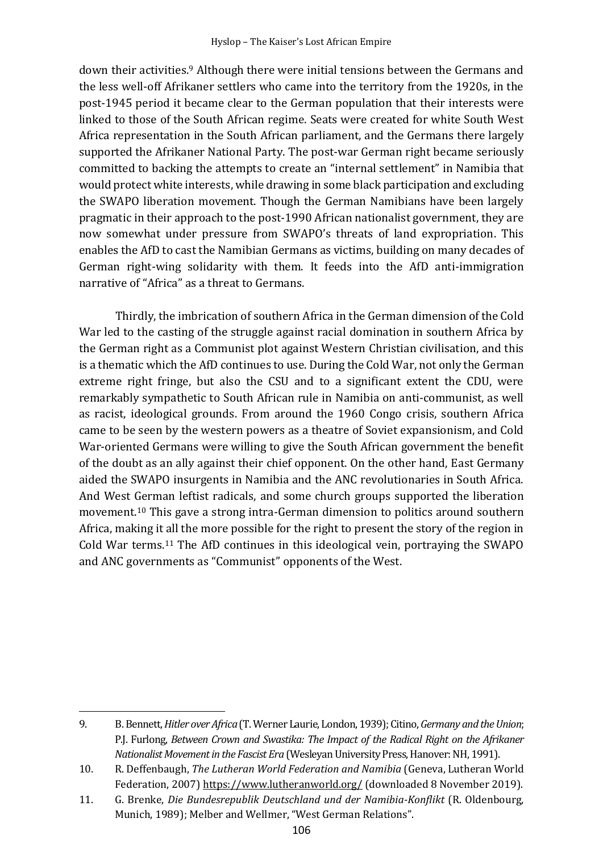down their activities.<sup>9</sup> Although there were initial tensions between the Germans and the less well-off Afrikaner settlers who came into the territory from the 1920s, in the post-1945 period it became clear to the German population that their interests were linked to those of the South African regime. Seats were created for white South West Africa representation in the South African parliament, and the Germans there largely supported the Afrikaner National Party. The post-war German right became seriously committed to backing the attempts to create an "internal settlement" in Namibia that would protect white interests, while drawing in some black participation and excluding the SWAPO liberation movement. Though the German Namibians have been largely pragmatic in their approach to the post-1990 African nationalist government, they are now somewhat under pressure from SWAPO's threats of land expropriation. This enables the AfD to cast the Namibian Germans as victims, building on many decades of German right-wing solidarity with them. It feeds into the AfD anti-immigration narrative of "Africa" as a threat to Germans.

Thirdly, the imbrication of southern Africa in the German dimension of the Cold War led to the casting of the struggle against racial domination in southern Africa by the German right as a Communist plot against Western Christian civilisation, and this is a thematic which the AfD continues to use. During the Cold War, not only the German extreme right fringe, but also the CSU and to a significant extent the CDU, were remarkably sympathetic to South African rule in Namibia on anti-communist, as well as racist, ideological grounds. From around the 1960 Congo crisis, southern Africa came to be seen by the western powers as a theatre of Soviet expansionism, and Cold War-oriented Germans were willing to give the South African government the benefit of the doubt as an ally against their chief opponent. On the other hand, East Germany aided the SWAPO insurgents in Namibia and the ANC revolutionaries in South Africa. And West German leftist radicals, and some church groups supported the liberation movement.<sup>10</sup> This gave a strong intra-German dimension to politics around southern Africa, making it all the more possible for the right to present the story of the region in Cold War terms.<sup>11</sup> The AfD continues in this ideological vein, portraying the SWAPO and ANC governments as "Communist" opponents of the West.

<sup>9.</sup> B. Bennett, *Hitler over Africa*(T. Werner Laurie, London, 1939);Citino, *Germany and the Union*; P.J. Furlong, *Between Crown and Swastika: The Impact of the Radical Right on the Afrikaner Nationalist Movement in the Fascist Era* (Wesleyan University Press, Hanover:NH, 1991).

<sup>10.</sup> R. Deffenbaugh, *The Lutheran World Federation and Namibia* (Geneva, Lutheran World Federation, 2007) https://www.lutheranworld.org/ (downloaded 8 November 2019).

<sup>11.</sup> G. Brenke, *Die Bundesrepublik Deutschland und der Namibia-Konflikt* (R. Oldenbourg, Munich, 1989); Melber and Wellmer, "West German Relations".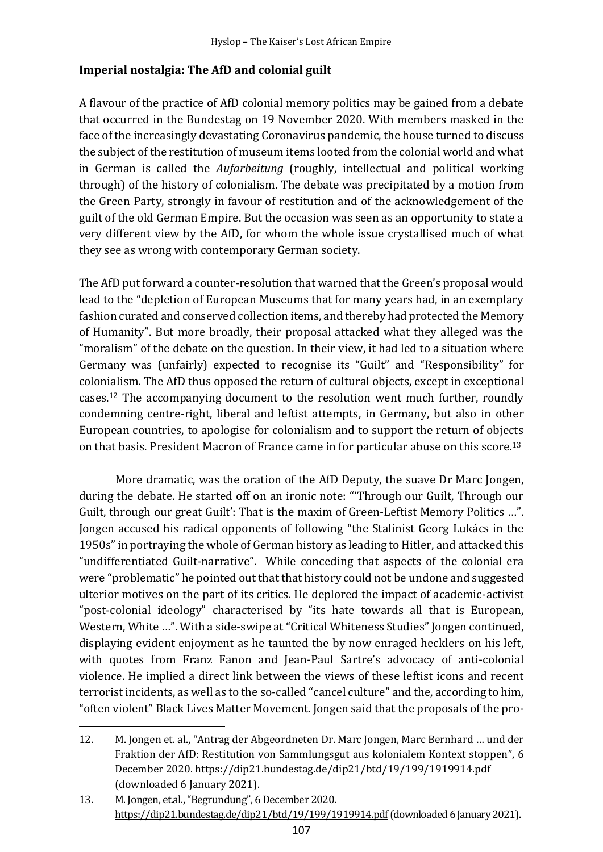# **Imperial nostalgia: The AfD and colonial guilt**

A flavour of the practice of AfD colonial memory politics may be gained from a debate that occurred in the Bundestag on 19 November 2020. With members masked in the face of the increasingly devastating Coronavirus pandemic, the house turned to discuss the subject of the restitution of museum items looted from the colonial world and what in German is called the *Aufarbeitung* (roughly, intellectual and political working through) of the history of colonialism. The debate was precipitated by a motion from the Green Party, strongly in favour of restitution and of the acknowledgement of the guilt of the old German Empire. But the occasion was seen as an opportunity to state a very different view by the AfD, for whom the whole issue crystallised much of what they see as wrong with contemporary German society.

The AfD put forward a counter-resolution that warned that the Green's proposal would lead to the "depletion of European Museums that for many years had, in an exemplary fashion curated and conserved collection items, and thereby had protected the Memory of Humanity". But more broadly, their proposal attacked what they alleged was the "moralism" of the debate on the question. In their view, it had led to a situation where Germany was (unfairly) expected to recognise its "Guilt" and "Responsibility" for colonialism. The AfD thus opposed the return of cultural objects, except in exceptional cases.<sup>12</sup> The accompanying document to the resolution went much further, roundly condemning centre-right, liberal and leftist attempts, in Germany, but also in other European countries, to apologise for colonialism and to support the return of objects on that basis. President Macron of France came in for particular abuse on this score.<sup>13</sup>

More dramatic, was the oration of the AfD Deputy, the suave Dr Marc Jongen, during the debate. He started off on an ironic note: "'Through our Guilt, Through our Guilt, through our great Guilt': That is the maxim of Green-Leftist Memory Politics ...". Jongen accused his radical opponents of following "the Stalinist Georg Lukács in the 1950s" in portraying the whole of German history as leading to Hitler, and attacked this "undifferentiated Guilt-narrative". While conceding that aspects of the colonial era were "problematic" he pointed out that that history could not be undone and suggested ulterior motives on the part of its critics. He deplored the impact of academic-activist "post-colonial ideology" characterised by "its hate towards all that is European, Western, White ...". With a side-swipe at "Critical Whiteness Studies" Jongen continued, displaying evident enjoyment as he taunted the by now enraged hecklers on his left, with quotes from Franz Fanon and Jean-Paul Sartre's advocacy of anti-colonial violence. He implied a direct link between the views of these leftist icons and recent terrorist incidents, as well as to the so-called "cancel culture" and the, according to him, "often violent" Black Lives Matter Movement. Jongen said that the proposals of the pro-

<sup>12.</sup> M. Jongen et. al., "Antrag der Abgeordneten Dr. Marc Jongen, Marc Bernhard … und der Fraktion der AfD: Restitution von Sammlungsgut aus kolonialem Kontext stoppen", 6 December 2020. https://dip21.bundestag.de/dip21/btd/19/199/1919914.pdf (downloaded 6 January 2021).

<sup>13.</sup> M. Jongen, et.al.,"Begrundung", 6 December 2020. https://dip21.bundestag.de/dip21/btd/19/199/1919914.pdf(downloaded 6 January 2021).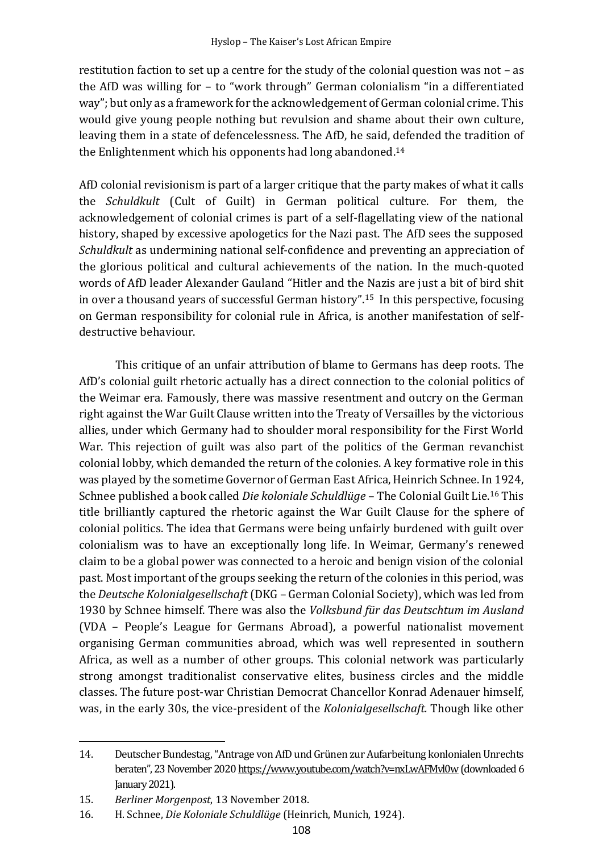restitution faction to set up a centre for the study of the colonial question was not – as the AfD was willing for – to "work through" German colonialism "in a differentiated way"; but only as a framework for the acknowledgement of German colonial crime. This would give young people nothing but revulsion and shame about their own culture, leaving them in a state of defencelessness. The AfD, he said, defended the tradition of the Enlightenment which his opponents had long abandoned. 14

AfD colonial revisionism is part of a larger critique that the party makes of what it calls the *Schuldkult* (Cult of Guilt) in German political culture. For them, the acknowledgement of colonial crimes is part of a self-flagellating view of the national history, shaped by excessive apologetics for the Nazi past. The AfD sees the supposed *Schuldkult* as undermining national self-confidence and preventing an appreciation of the glorious political and cultural achievements of the nation. In the much-quoted words of AfD leader Alexander Gauland "Hitler and the Nazis are just a bit of bird shit in over a thousand years of successful German history". <sup>15</sup> In this perspective, focusing on German responsibility for colonial rule in Africa, is another manifestation of selfdestructive behaviour.

This critique of an unfair attribution of blame to Germans has deep roots. The AfD's colonial guilt rhetoric actually has a direct connection to the colonial politics of the Weimar era. Famously, there was massive resentment and outcry on the German right against the War Guilt Clause written into the Treaty of Versailles by the victorious allies, under which Germany had to shoulder moral responsibility for the First World War. This rejection of guilt was also part of the politics of the German revanchist colonial lobby, which demanded the return of the colonies. A key formative role in this was played by the sometime Governor of German East Africa, Heinrich Schnee. In 1924, Schnee published a book called *Die koloniale Schuldlüge* – The Colonial Guilt Lie.<sup>16</sup> This title brilliantly captured the rhetoric against the War Guilt Clause for the sphere of colonial politics. The idea that Germans were being unfairly burdened with guilt over colonialism was to have an exceptionally long life. In Weimar, Germany's renewed claim to be a global power was connected to a heroic and benign vision of the colonial past. Most important of the groups seeking the return of the colonies in this period, was the *Deutsche Kolonialgesellschaft* (DKG – German Colonial Society), which was led from 1930 by Schnee himself. There was also the *Volksbund ğr das Deutschtum im Ausland* (VDA – People's League for Germans Abroad), a powerful nationalist movement organising German communities abroad, which was well represented in southern Africa, as well as a number of other groups. This colonial network was particularly strong amongst traditionalist conservative elites, business circles and the middle classes. The future post-war Christian Democrat Chancellor Konrad Adenauer himself, was, in the early 30s, the vice-president of the *Kolonialgesellschaft.* Though like other

<sup>14.</sup> Deutscher Bundestag,"Antrage von AfD und Grünen zur Aufarbeitung konlonialen Unrechts beraten", 23 November 2020 https://www.youtube.com/watch?v=nxLwAFMvl0w (downloaded 6 January 2021).

<sup>15.</sup> *Berliner Morgenpost*, 13 November 2018.

<sup>16.</sup> H. Schnee, *Die Koloniale Schuldlüge* (Heinrich, Munich, 1924).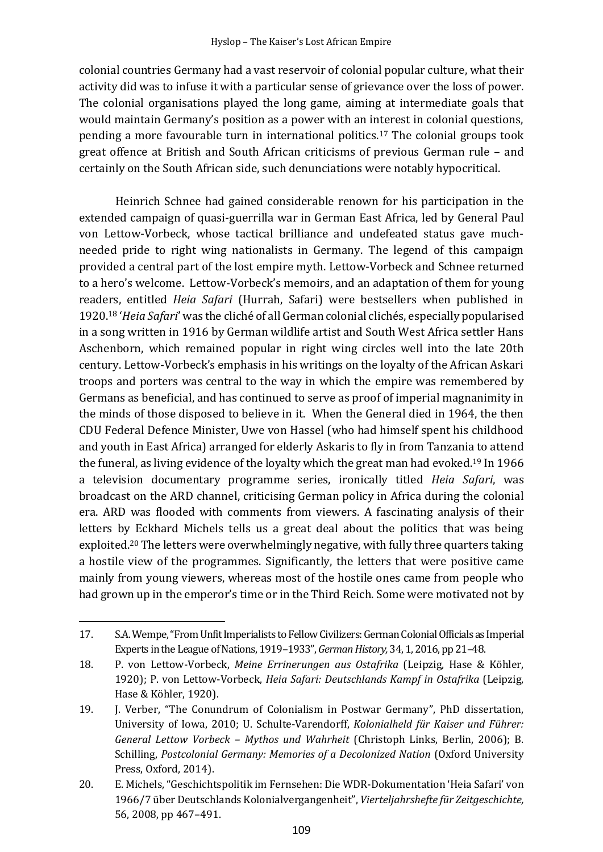colonial countries Germany had a vast reservoir of colonial popular culture, what their activity did was to infuse it with a particular sense of grievance over the loss of power. The colonial organisations played the long game, aiming at intermediate goals that would maintain Germany's position as a power with an interest in colonial questions, pending a more favourable turn in international politics. <sup>17</sup> The colonial groups took great offence at British and South African criticisms of previous German rule – and certainly on the South African side, such denunciations were notably hypocritical.

Heinrich Schnee had gained considerable renown for his participation in the extended campaign of quasi-guerrilla war in German East Africa, led by General Paul von Lettow-Vorbeck, whose tactical brilliance and undefeated status gave muchneeded pride to right wing nationalists in Germany. The legend of this campaign provided a central part of the lost empire myth. Lettow-Vorbeck and Schnee returned to a hero's welcome. Lettow-Vorbeck's memoirs, and an adaptation of them for young readers, entitled *Heia Safari* (Hurrah, Safari) were bestsellers when published in 1920.<sup>18</sup> '*Heia Safari*' was the cliché of all German colonial clichés, especially popularised in a song written in 1916 by German wildlife artist and South West Africa settler Hans Aschenborn, which remained popular in right wing circles well into the late 20th century. Lettow-Vorbeck's emphasis in his writings on the loyalty of the African Askari troops and porters was central to the way in which the empire was remembered by Germans as beneficial, and has continued to serve as proof of imperial magnanimity in the minds of those disposed to believe in it. When the General died in 1964, the then CDU Federal Defence Minister, Uwe von Hassel (who had himself spent his childhood and youth in East Africa) arranged for elderly Askaris to fly in from Tanzania to attend the funeral, as living evidence of the loyalty which the great man had evoked.<sup>19</sup> In 1966 a television documentary programme series, ironically titled *Heia Safari*, was broadcast on the ARD channel, criticising German policy in Africa during the colonial era. ARD was flooded with comments from viewers. A fascinating analysis of their letters by Eckhard Michels tells us a great deal about the politics that was being exploited.<sup>20</sup> The letters were overwhelmingly negative, with fully three quarters taking a hostile view of the programmes. Significantly, the letters that were positive came mainly from young viewers, whereas most of the hostile ones came from people who had grown up in the emperor's time or in the Third Reich. Some were motivated not by

<sup>17.</sup> S.A. Wempe, "From Unfit Imperialists to Fellow Civilizers: German Colonial Officials as Imperial Experts in the League of Nations, 1919–1933", *German History,* 34, 1, 2016, pp 21–48.

<sup>18.</sup> P. von Lettow-Vorbeck, *Meine Errinerungen aus Ostafrika* (Leipzig, Hase & Köhler, 1920); P. von Lettow-Vorbeck, *Heia Safari: Deutschlands Kampf in Ostafrika* (Leipzig, Hase & Köhler, 1920).

<sup>19.</sup> J. Verber, "The Conundrum of Colonialism in Postwar Germany", PhD dissertation, University of Iowa, 2010; U. Schulte-Varendorff, *Kolonialheld für Kaiser und Führer: General Lettow Vorbeck – Mythos und Wahrheit* (Christoph Links, Berlin, 2006); B. Schilling, *Postcolonial Germany: Memories of a Decolonized Nation* (Oxford University Press, Oxford, 2014).

<sup>20.</sup> E. Michels, "Geschichtspolitik im Fernsehen: Die WDR-Dokumentation 'Heia Safari' von 1966/7 über Deutschlands Kolonialvergangenheit", *Vierteljahrshefte für Zeitgeschichte,* 56, 2008, pp 467–491.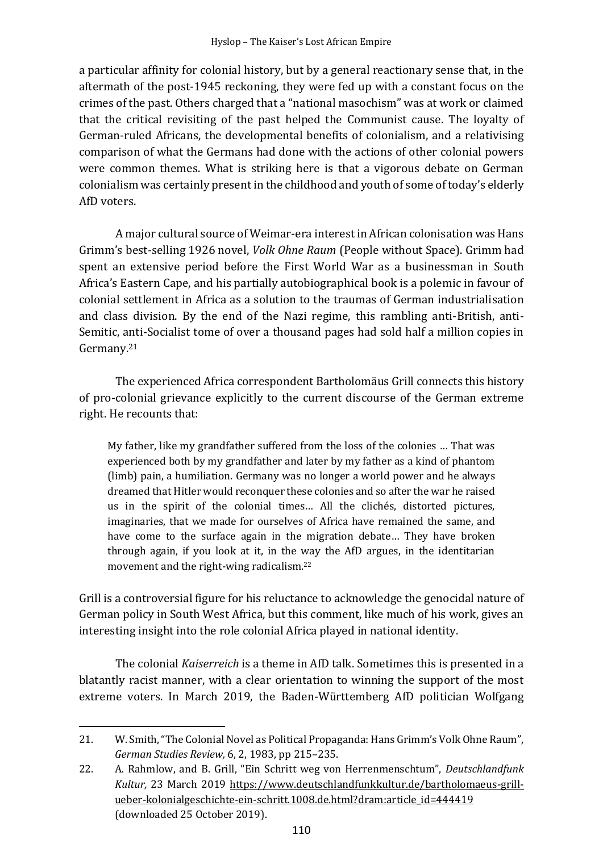a particular affinity for colonial history, but by a general reactionary sense that, in the aftermath of the post-1945 reckoning, they were fed up with a constant focus on the crimes of the past. Others charged that a "national masochism" was at work or claimed that the critical revisiting of the past helped the Communist cause. The loyalty of German-ruled Africans, the developmental benefits of colonialism, and a relativising comparison of what the Germans had done with the actions of other colonial powers were common themes. What is striking here is that a vigorous debate on German colonialism was certainly present in the childhood and youth of some of today's elderly AfD voters.

A major cultural source of Weimar-era interest in African colonisation was Hans Grimm's best-selling 1926 novel, *Volk Ohne Raum* (People without Space). Grimm had spent an extensive period before the First World War as a businessman in South Africa's Eastern Cape, and his partially autobiographical book is a polemic in favour of colonial settlement in Africa as a solution to the traumas of German industrialisation and class division. By the end of the Nazi regime, this rambling anti-British, anti-Semitic, anti-Socialist tome of over a thousand pages had sold half a million copies in Germany.<sup>21</sup>

The experienced Africa correspondent Bartholomäus Grill connects this history of pro-colonial grievance explicitly to the current discourse of the German extreme right. He recounts that:

My father, like my grandfather suffered from the loss of the colonies … That was experienced both by my grandfather and later by my father as a kind of phantom (limb) pain, a humiliation. Germany was no longer a world power and he always dreamed that Hitler would reconquer these colonies and so after the war he raised us in the spirit of the colonial times… All the clichés, distorted pictures, imaginaries, that we made for ourselves of Africa have remained the same, and have come to the surface again in the migration debate… They have broken through again, if you look at it, in the way the AfD argues, in the identitarian movement and the right-wing radicalism. 22

Grill is a controversial figure for his reluctance to acknowledge the genocidal nature of German policy in South West Africa, but this comment, like much of his work, gives an interesting insight into the role colonial Africa played in national identity.

The colonial *Kaiserreich* is a theme in AfD talk. Sometimes this is presented in a blatantly racist manner, with a clear orientation to winning the support of the most extreme voters. In March 2019, the Baden-Württemberg AfD politician Wolfgang

<sup>21.</sup> W. Smith, "The Colonial Novel as Political Propaganda: Hans Grimm's Volk Ohne Raum", *German Studies Review,* 6, 2, 1983, pp 215–235.

<sup>22.</sup> A. Rahmlow, and B. Grill, "Ein Schritt weg von Herrenmenschtum", *Deutschlandfunk Kultur,* 23 March 2019 https://www.deutschlandfunkkultur.de/bartholomaeus-grillueber-kolonialgeschichte-ein-schritt.1008.de.html?dram:article\_id=444419 (downloaded 25 October 2019).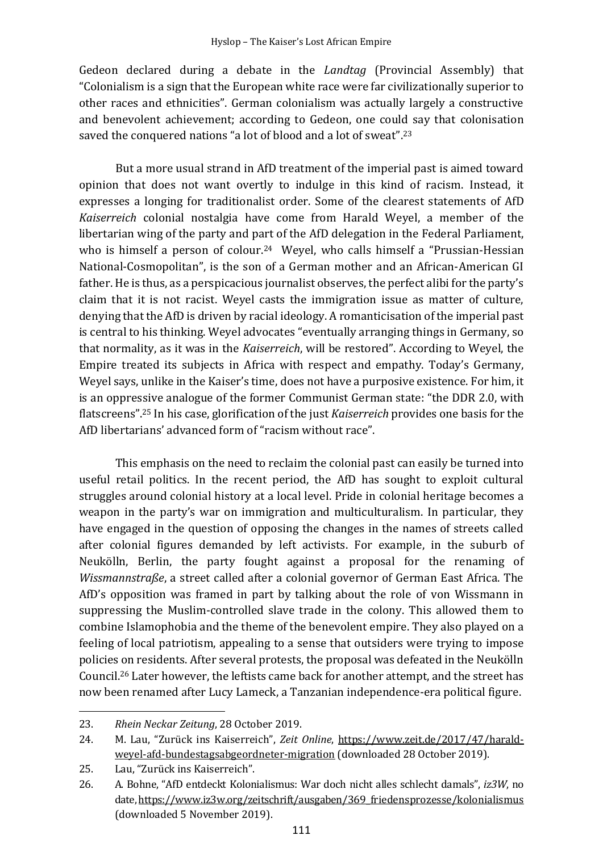Gedeon declared during a debate in the *Landtag* (Provincial Assembly) that "Colonialism is a sign that the European white race were far civilizationally superior to other races and ethnicities". German colonialism was actually largely a constructive and benevolent achievement; according to Gedeon, one could say that colonisation saved the conquered nations "a lot of blood and a lot of sweat". 23

But a more usual strand in AfD treatment of the imperial past is aimed toward opinion that does not want overtly to indulge in this kind of racism. Instead, it expresses a longing for traditionalist order. Some of the clearest statements of AfD *Kaiserreich* colonial nostalgia have come from Harald Weyel, a member of the libertarian wing of the party and part of the AfD delegation in the Federal Parliament, who is himself a person of colour.<sup>24</sup> Weyel, who calls himself a "Prussian-Hessian National-Cosmopolitan", is the son of a German mother and an African-American GI father. He is thus, as a perspicacious journalist observes, the perfect alibi for the party's claim that it is not racist. Weyel casts the immigration issue as matter of culture, denying that the AfD is driven by racial ideology. A romanticisation of the imperial past is central to his thinking. Weyel advocates "eventually arranging things in Germany, so that normality, as it was in the *Kaiserreich*, will be restored". According to Weyel, the Empire treated its subjects in Africa with respect and empathy. Today's Germany, Weyel says, unlike in the Kaiser's time, does not have a purposive existence. For him, it is an oppressive analogue of the former Communist German state: "the DDR 2.0, with flatscreens". <sup>25</sup> In his case, glorification of the just *Kaiserreich* provides one basis for the AfD libertarians' advanced form of "racism without race".

This emphasis on the need to reclaim the colonial past can easily be turned into useful retail politics. In the recent period, the AfD has sought to exploit cultural struggles around colonial history at a local level. Pride in colonial heritage becomes a weapon in the party's war on immigration and multiculturalism. In particular, they have engaged in the question of opposing the changes in the names of streets called after colonial figures demanded by left activists. For example, in the suburb of Neukölln, Berlin, the party fought against a proposal for the renaming of *Wissmannstraße*, a street called after a colonial governor of German East Africa. The AfD's opposition was framed in part by talking about the role of von Wissmann in suppressing the Muslim-controlled slave trade in the colony. This allowed them to combine Islamophobia and the theme of the benevolent empire. They also played on a feeling of local patriotism, appealing to a sense that outsiders were trying to impose policies on residents. After several protests, the proposal was defeated in the Neukölln Council.<sup>26</sup> Later however, the leftists came back for another attempt, and the street has now been renamed after Lucy Lameck, a Tanzanian independence-era political figure.

<sup>23.</sup> *Rhein Neckar Zeitung*, 28 October 2019.

<sup>24.</sup> M. Lau, "Zurück ins Kaiserreich", *Zeit Online*, https://www.zeit.de/2017/47/haraldweyel-afd-bundestagsabgeordneter-migration (downloaded 28 October 2019).

<sup>25.</sup> Lau, "Zurück ins Kaiserreich".

<sup>26.</sup> A. Bohne, "AfD entdeckt Kolonialismus: War doch nicht alles schlecht damals", *iz3W*, no date, https://www.iz3w.org/zeitschrift/ausgaben/369\_friedensprozesse/kolonialismus (downloaded 5 November 2019).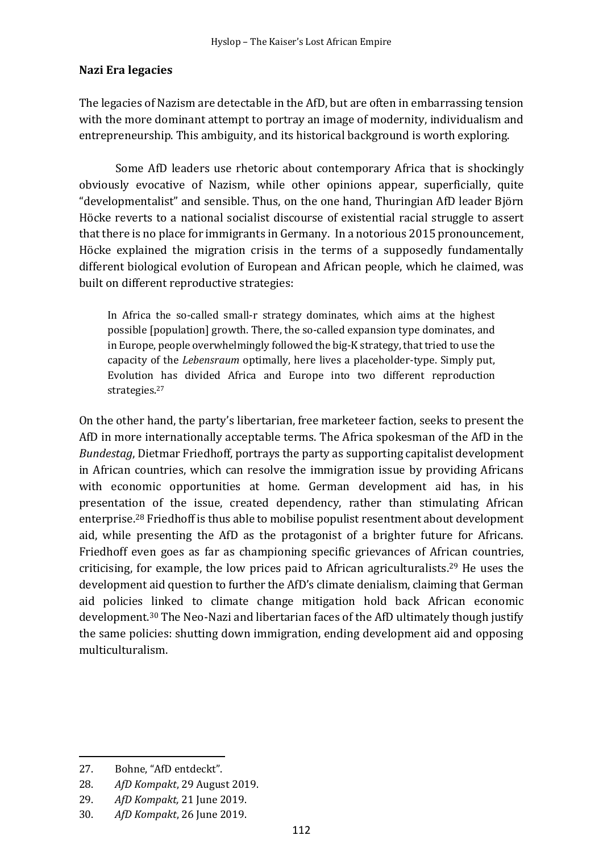## **Nazi Era legacies**

The legacies of Nazism are detectable in the AfD, but are often in embarrassing tension with the more dominant attempt to portray an image of modernity, individualism and entrepreneurship. This ambiguity, and its historical background is worth exploring.

Some AfD leaders use rhetoric about contemporary Africa that is shockingly obviously evocative of Nazism, while other opinions appear, superficially, quite "developmentalist" and sensible. Thus, on the one hand, Thuringian AfD leader Björn Höcke reverts to a national socialist discourse of existential racial struggle to assert that there is no place for immigrants in Germany. In a notorious 2015 pronouncement, Höcke explained the migration crisis in the terms of a supposedly fundamentally different biological evolution of European and African people, which he claimed, was built on different reproductive strategies:

In Africa the so-called small-r strategy dominates, which aims at the highest possible [population] growth. There, the so-called expansion type dominates, and in Europe, people overwhelmingly followed the big-K strategy, that tried to use the capacity of the *Lebensraum* optimally, here lives a placeholder-type. Simply put, Evolution has divided Africa and Europe into two different reproduction strategies. 27

On the other hand, the party's libertarian, free marketeer faction, seeks to present the AfD in more internationally acceptable terms. The Africa spokesman of the AfD in the *Bundestag*, Dietmar Friedhoff, portrays the party as supporting capitalist development in African countries, which can resolve the immigration issue by providing Africans with economic opportunities at home. German development aid has, in his presentation of the issue, created dependency, rather than stimulating African enterprise. <sup>28</sup> Friedhoff is thus able to mobilise populist resentment about development aid, while presenting the AfD as the protagonist of a brighter future for Africans. Friedhoff even goes as far as championing specific grievances of African countries, criticising, for example, the low prices paid to African agriculturalists. <sup>29</sup> He uses the development aid question to further the AfD's climate denialism, claiming that German aid policies linked to climate change mitigation hold back African economic development. <sup>30</sup> The Neo-Nazi and libertarian faces of the AfD ultimately though justify the same policies: shutting down immigration, ending development aid and opposing multiculturalism.

<sup>27.</sup> Bohne, "AfD entdeckt".

<sup>28.</sup> *AfD Kompakt*, 29 August 2019.

<sup>29.</sup> *AfD Kompakt,* 21 June 2019.

<sup>30.</sup> *AfD Kompakt*, 26 June 2019.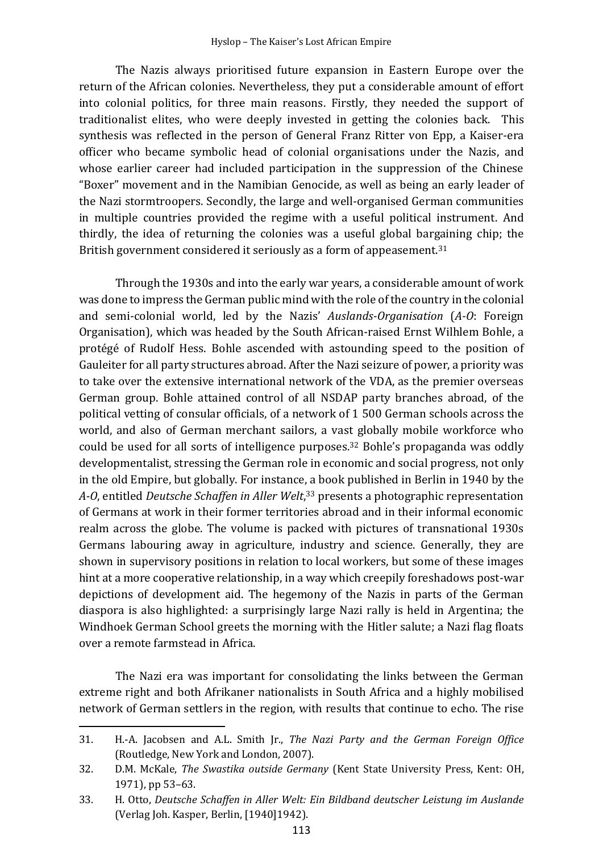The Nazis always prioritised future expansion in Eastern Europe over the return of the African colonies. Nevertheless, they put a considerable amount of effort into colonial politics, for three main reasons. Firstly, they needed the support of traditionalist elites, who were deeply invested in getting the colonies back. This synthesis was reflected in the person of General Franz Ritter von Epp, a Kaiser-era officer who became symbolic head of colonial organisations under the Nazis, and whose earlier career had included participation in the suppression of the Chinese "Boxer" movement and in the Namibian Genocide, as well as being an early leader of the Nazi stormtroopers. Secondly, the large and well-organised German communities in multiple countries provided the regime with a useful political instrument. And thirdly, the idea of returning the colonies was a useful global bargaining chip; the British government considered it seriously as a form of appeasement.<sup>31</sup>

Through the 1930s and into the early war years, a considerable amount of work was done to impress the German public mind with the role of the country in the colonial and semi-colonial world, led by the Nazis' *Auslands-Organisation* (*A-O*: Foreign Organisation), which was headed by the South African-raised Ernst Wilhlem Bohle, a protégé of Rudolf Hess. Bohle ascended with astounding speed to the position of Gauleiter for all party structures abroad. After the Nazi seizure of power, a priority was to take over the extensive international network of the VDA, as the premier overseas German group. Bohle attained control of all NSDAP party branches abroad, of the political vetting of consular officials, of a network of 1 500 German schools across the world, and also of German merchant sailors, a vast globally mobile workforce who could be used for all sorts of intelligence purposes. <sup>32</sup> Bohle's propaganda was oddly developmentalist, stressing the German role in economic and social progress, not only in the old Empire, but globally. For instance, a book published in Berlin in 1940 by the A-O, entitled *Deutsche Schaffen in Aller Welt*,<sup>33</sup> presents a photographic representation of Germans at work in their former territories abroad and in their informal economic realm across the globe. The volume is packed with pictures of transnational 1930s Germans labouring away in agriculture, industry and science. Generally, they are shown in supervisory positions in relation to local workers, but some of these images hint at a more cooperative relationship, in a way which creepily foreshadows post-war depictions of development aid. The hegemony of the Nazis in parts of the German diaspora is also highlighted: a surprisingly large Nazi rally is held in Argentina; the Windhoek German School greets the morning with the Hitler salute; a Nazi flag floats over a remote farmstead in Africa.

The Nazi era was important for consolidating the links between the German extreme right and both Afrikaner nationalists in South Africa and a highly mobilised network of German settlers in the region, with results that continue to echo. The rise

<sup>31.</sup> H.-A. Jacobsen and A.L. Smith Jr., *The Nazi Party and the German Foreign Office* (Routledge, New York and London, 2007).

<sup>32.</sup> D.M. McKale, *The Swastika outside Germany* (Kent State University Press, Kent: OH, 1971), pp 53–63.

<sup>33.</sup> H. Otto, *Deutsche Schaffen in Aller Welt: Ein Bildband deutscher Leistung im Auslande* (Verlag Joh. Kasper, Berlin, [1940]1942).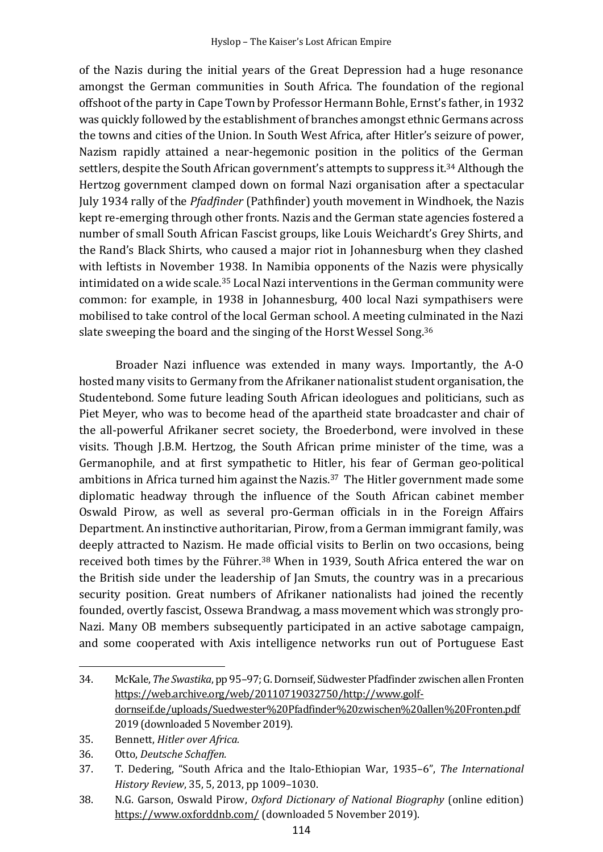of the Nazis during the initial years of the Great Depression had a huge resonance amongst the German communities in South Africa. The foundation of the regional offshoot of the party in Cape Town by Professor Hermann Bohle, Ernst's father, in 1932 was quickly followed by the establishment of branches amongst ethnic Germans across the towns and cities of the Union. In South West Africa, after Hitler's seizure of power, Nazism rapidly attained a near-hegemonic position in the politics of the German settlers, despite the South African government's attempts to suppress it.<sup>34</sup> Although the Hertzog government clamped down on formal Nazi organisation after a spectacular July 1934 rally of the *Pfadfinder* (Pathfinder) youth movement in Windhoek, the Nazis kept re-emerging through other fronts. Nazis and the German state agencies fostered a number of small South African Fascist groups, like Louis Weichardt's Grey Shirts, and the Rand's Black Shirts, who caused a major riot in Johannesburg when they clashed with leftists in November 1938. In Namibia opponents of the Nazis were physically intimidated on a wide scale.<sup>35</sup> Local Nazi interventions in the German community were common: for example, in 1938 in Johannesburg, 400 local Nazi sympathisers were mobilised to take control of the local German school. A meeting culminated in the Nazi slate sweeping the board and the singing of the Horst Wessel Song.<sup>36</sup>

Broader Nazi influence was extended in many ways. Importantly, the A-O hosted many visits to Germany from the Afrikaner nationalist student organisation, the Studentebond*.* Some future leading South African ideologues and politicians, such as Piet Meyer, who was to become head of the apartheid state broadcaster and chair of the all-powerful Afrikaner secret society, the Broederbond, were involved in these visits. Though J.B.M. Hertzog, the South African prime minister of the time, was a Germanophile, and at first sympathetic to Hitler, his fear of German geo-political ambitions in Africa turned him against the Nazis. <sup>37</sup> The Hitler government made some diplomatic headway through the influence of the South African cabinet member Oswald Pirow, as well as several pro-German officials in in the Foreign Affairs Department. An instinctive authoritarian, Pirow, from a German immigrant family, was deeply attracted to Nazism. He made official visits to Berlin on two occasions, being received both times by the Führer.<sup>38</sup> When in 1939, South Africa entered the war on the British side under the leadership of Jan Smuts, the country was in a precarious security position. Great numbers of Afrikaner nationalists had joined the recently founded, overtly fascist, Ossewa Brandwag*,* a mass movement which was strongly pro-Nazi. Many OB members subsequently participated in an active sabotage campaign, and some cooperated with Axis intelligence networks run out of Portuguese East

<sup>34.</sup> McKale, *The Swastika*, pp 95–97; G. Dornseif, Südwester Pfadfinder zwischen allen Fronten https://web.archive.org/web/20110719032750/http://www.golfdornseif.de/uploads/Suedwester%20Pfadfinder%20zwischen%20allen%20Fronten.pdf 2019 (downloaded 5 November 2019).

<sup>35.</sup> Bennett, *Hitler over Africa.*

<sup>36.</sup> Otto, *Deutsche Schaffen.*

<sup>37.</sup> T. Dedering, "South Africa and the Italo-Ethiopian War, 1935–6", *The International History Review*, 35, 5, 2013, pp 1009–1030.

<sup>38.</sup> N.G. Garson, Oswald Pirow, *Oxford Dictionary of National Biography* (online edition) https://www.oxforddnb.com/ (downloaded 5 November 2019).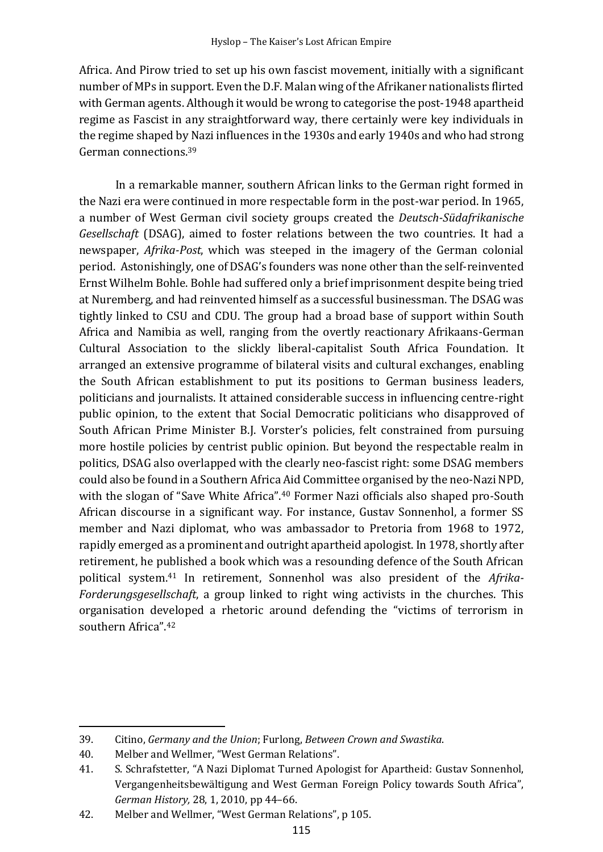Africa. And Pirow tried to set up his own fascist movement, initially with a significant number of MPs in support. Even the D.F. Malan wing of the Afrikaner nationalists flirted with German agents. Although it would be wrong to categorise the post-1948 apartheid regime as Fascist in any straightforward way, there certainly were key individuals in the regime shaped by Nazi influences in the 1930s and early 1940s and who had strong German connections. 39

In a remarkable manner, southern African links to the German right formed in the Nazi era were continued in more respectable form in the post-war period. In 1965, a number of West German civil society groups created the *Deutsch-Südafrikanische Gesellschaft* (DSAG), aimed to foster relations between the two countries. It had a newspaper, *Afrika-Post*, which was steeped in the imagery of the German colonial period. Astonishingly, one of DSAG's founders was none other than the self-reinvented Ernst Wilhelm Bohle. Bohle had suffered only a brief imprisonment despite being tried at Nuremberg, and had reinvented himself as a successful businessman. The DSAG was tightly linked to CSU and CDU. The group had a broad base of support within South Africa and Namibia as well, ranging from the overtly reactionary Afrikaans-German Cultural Association to the slickly liberal-capitalist South Africa Foundation. It arranged an extensive programme of bilateral visits and cultural exchanges, enabling the South African establishment to put its positions to German business leaders, politicians and journalists. It attained considerable success in influencing centre-right public opinion, to the extent that Social Democratic politicians who disapproved of South African Prime Minister B.J. Vorster's policies, felt constrained from pursuing more hostile policies by centrist public opinion. But beyond the respectable realm in politics, DSAG also overlapped with the clearly neo-fascist right: some DSAG members could also be found in a Southern Africa Aid Committee organised by the neo-Nazi NPD, with the slogan of "Save White Africa".<sup>40</sup> Former Nazi officials also shaped pro-South African discourse in a significant way. For instance, Gustav Sonnenhol, a former SS member and Nazi diplomat, who was ambassador to Pretoria from 1968 to 1972, rapidly emerged as a prominent and outright apartheid apologist. In 1978, shortly after retirement, he published a book which was a resounding defence of the South African political system.<sup>41</sup> In retirement, Sonnenhol was also president of the *Afrika-Forderungsgesellschaft*, a group linked to right wing activists in the churches. This organisation developed a rhetoric around defending the "victims of terrorism in southern Africa". 42

<sup>39.</sup> Citino, *Germany and the Union*; Furlong, *Between Crown and Swastika*.

<sup>40.</sup> Melber and Wellmer, "West German Relations".

<sup>41.</sup> S. Schrafstetter, "A Nazi Diplomat Turned Apologist for Apartheid: Gustav Sonnenhol, Vergangenheitsbewältigung and West German Foreign Policy towards South Africa", *German History,* 28, 1, 2010, pp 44–66.

<sup>42.</sup> Melber and Wellmer, "West German Relations", p 105.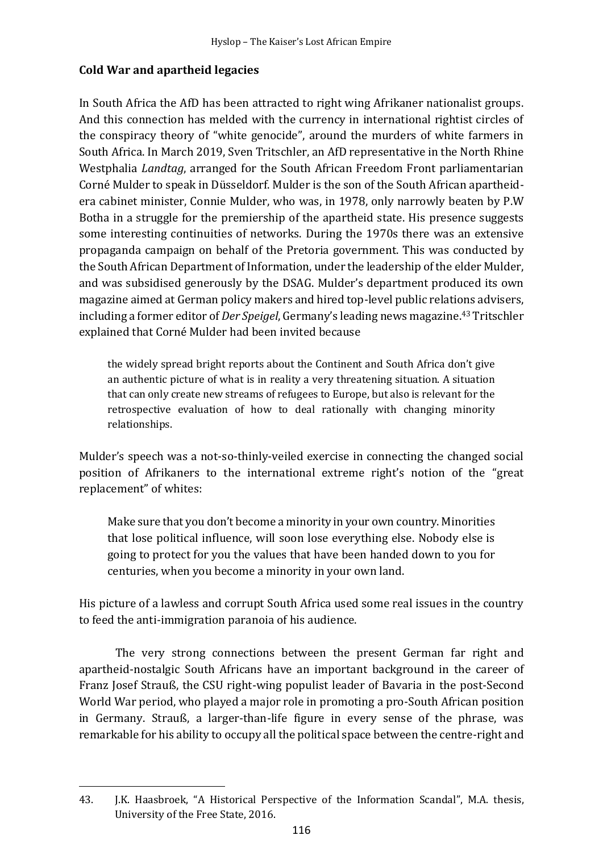# **Cold War and apartheid legacies**

In South Africa the AfD has been attracted to right wing Afrikaner nationalist groups. And this connection has melded with the currency in international rightist circles of the conspiracy theory of "white genocide", around the murders of white farmers in South Africa. In March 2019, Sven Tritschler, an AfD representative in the North Rhine Westphalia *Landtag*, arranged for the South African Freedom Front parliamentarian Corné Mulder to speak in Düsseldorf. Mulder is the son of the South African apartheidera cabinet minister, Connie Mulder, who was, in 1978, only narrowly beaten by P.W Botha in a struggle for the premiership of the apartheid state. His presence suggests some interesting continuities of networks. During the 1970s there was an extensive propaganda campaign on behalf of the Pretoria government. This was conducted by the South African Department of Information, under the leadership of the elder Mulder, and was subsidised generously by the DSAG. Mulder's department produced its own magazine aimed at German policy makers and hired top-level public relations advisers, including a former editor of *Der Speigel*, Germany's leading news magazine. <sup>43</sup> Tritschler explained that Corné Mulder had been invited because

the widely spread bright reports about the Continent and South Africa don't give an authentic picture of what is in reality a very threatening situation. A situation that can only create new streams of refugees to Europe, but also is relevant for the retrospective evaluation of how to deal rationally with changing minority relationships.

Mulder's speech was a not-so-thinly-veiled exercise in connecting the changed social position of Afrikaners to the international extreme right's notion of the "great replacement" of whites:

Make sure that you don't become a minority in your own country. Minorities that lose political influence, will soon lose everything else. Nobody else is going to protect for you the values that have been handed down to you for centuries, when you become a minority in your own land.

His picture of a lawless and corrupt South Africa used some real issues in the country to feed the anti-immigration paranoia of his audience.

The very strong connections between the present German far right and apartheid-nostalgic South Africans have an important background in the career of Franz Josef Strauß, the CSU right-wing populist leader of Bavaria in the post-Second World War period, who played a major role in promoting a pro-South African position in Germany. Strauß, a larger-than-life figure in every sense of the phrase, was remarkable for his ability to occupy all the political space between the centre-right and

<sup>43.</sup> J.K. Haasbroek, "A Historical Perspective of the Information Scandal", M.A. thesis, University of the Free State, 2016.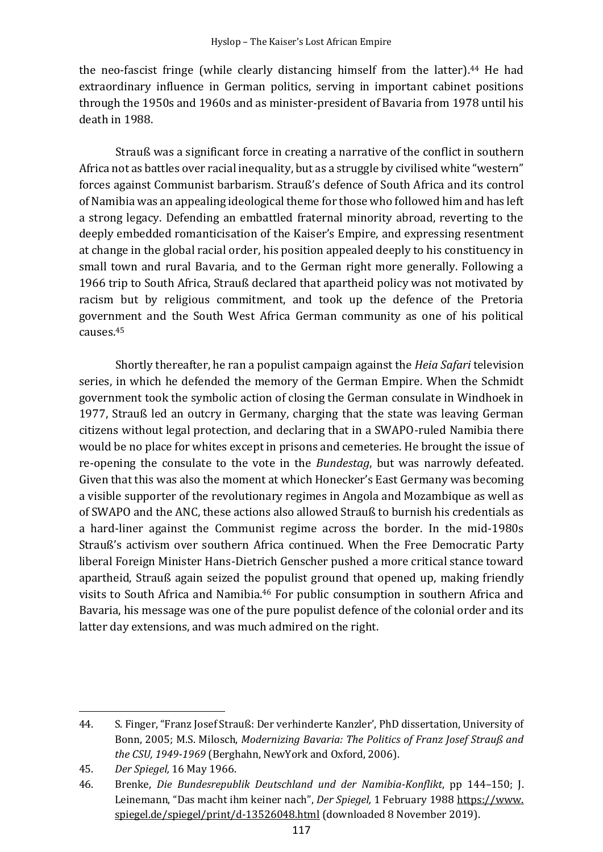the neo-fascist fringe (while clearly distancing himself from the latter). <sup>44</sup> He had extraordinary influence in German politics, serving in important cabinet positions through the 1950s and 1960s and as minister-president of Bavaria from 1978 until his death in 1988.

Strauß was a significant force in creating a narrative of the conflict in southern Africa not as battles over racial inequality, but as a struggle by civilised white "western" forces against Communist barbarism. Strauß's defence of South Africa and its control of Namibia was an appealing ideological theme for those who followed him and has left a strong legacy. Defending an embattled fraternal minority abroad, reverting to the deeply embedded romanticisation of the Kaiser's Empire, and expressing resentment at change in the global racial order, his position appealed deeply to his constituency in small town and rural Bavaria, and to the German right more generally. Following a 1966 trip to South Africa, Strauß declared that apartheid policy was not motivated by racism but by religious commitment, and took up the defence of the Pretoria government and the South West Africa German community as one of his political causes.<sup>45</sup>

Shortly thereafter, he ran a populist campaign against the *Heia Safari* television series, in which he defended the memory of the German Empire. When the Schmidt government took the symbolic action of closing the German consulate in Windhoek in 1977, Strauß led an outcry in Germany, charging that the state was leaving German citizens without legal protection, and declaring that in a SWAPO-ruled Namibia there would be no place for whites except in prisons and cemeteries. He brought the issue of re-opening the consulate to the vote in the *Bundestag*, but was narrowly defeated. Given that this was also the moment at which Honecker's East Germany was becoming a visible supporter of the revolutionary regimes in Angola and Mozambique as well as of SWAPO and the ANC, these actions also allowed Strauß to burnish his credentials as a hard-liner against the Communist regime across the border. In the mid-1980s Strauß's activism over southern Africa continued. When the Free Democratic Party liberal Foreign Minister Hans-Dietrich Genscher pushed a more critical stance toward apartheid, Strauß again seized the populist ground that opened up, making friendly visits to South Africa and Namibia. <sup>46</sup> For public consumption in southern Africa and Bavaria, his message was one of the pure populist defence of the colonial order and its latter day extensions, and was much admired on the right.

<sup>44.</sup> S. Finger, "Franz Josef Strauß: Der verhinderte Kanzler', PhD dissertation, University of Bonn, 2005; M.S. Milosch, *Modernizing Bavaria: The Politics of Franz Josef Strauß and the CSU, 1949-1969* (Berghahn, NewYork and Oxford, 2006).

<sup>45.</sup> *Der Spiegel,* 16 May 1966.

<sup>46.</sup> Brenke, *Die Bundesrepublik Deutschland und der Namibia-Konflikt*, pp 144–150; J. Leinemann, "Das macht ihm keiner nach", *Der Spiegel,* 1 February 1988 https://www. spiegel.de/spiegel/print/d-13526048.html (downloaded 8 November 2019).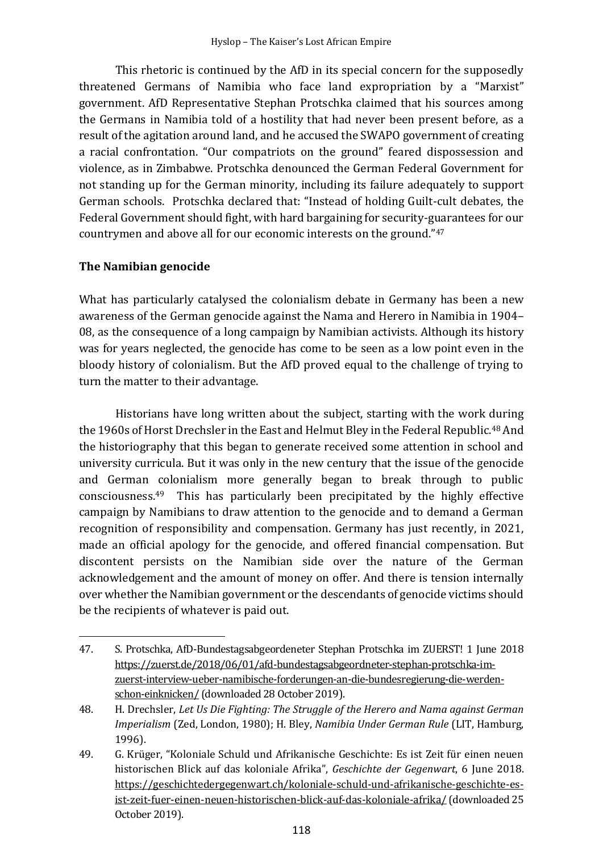This rhetoric is continued by the AfD in its special concern for the supposedly threatened Germans of Namibia who face land expropriation by a "Marxist" government. AfD Representative Stephan Protschka claimed that his sources among the Germans in Namibia told of a hostility that had never been present before, as a result of the agitation around land, and he accused the SWAPO government of creating a racial confrontation. "Our compatriots on the ground" feared dispossession and violence, as in Zimbabwe. Protschka denounced the German Federal Government for not standing up for the German minority, including its failure adequately to support German schools. Protschka declared that: "Instead of holding Guilt-cult debates, the Federal Government should fight, with hard bargaining for security-guarantees for our countrymen and above all for our economic interests on the ground."<sup>47</sup>

### **The Namibian genocide**

What has particularly catalysed the colonialism debate in Germany has been a new awareness of the German genocide against the Nama and Herero in Namibia in 1904– 08, as the consequence of a long campaign by Namibian activists. Although its history was for years neglected, the genocide has come to be seen as a low point even in the bloody history of colonialism. But the AfD proved equal to the challenge of trying to turn the matter to their advantage.

Historians have long written about the subject, starting with the work during the 1960s of Horst Drechsler in the East and Helmut Bley in the Federal Republic.<sup>48</sup> And the historiography that this began to generate received some attention in school and university curricula. But it was only in the new century that the issue of the genocide and German colonialism more generally began to break through to public consciousness. <sup>49</sup> This has particularly been precipitated by the highly effective campaign by Namibians to draw attention to the genocide and to demand a German recognition of responsibility and compensation. Germany has just recently, in 2021, made an official apology for the genocide, and offered financial compensation. But discontent persists on the Namibian side over the nature of the German acknowledgement and the amount of money on offer. And there is tension internally over whether the Namibian government or the descendants of genocide victims should be the recipients of whatever is paid out.

<sup>47.</sup> S. Protschka, AfD-Bundestagsabgeordeneter Stephan Protschka im ZUERST! 1 June 2018 https://zuerst.de/2018/06/01/afd-bundestagsabgeordneter-stephan-protschka-imzuerst-interview-ueber-namibische-forderungen-an-die-bundesregierung-die-werdenschon-einknicken/ (downloaded 28 October 2019).

<sup>48.</sup> H. Drechsler, *Let Us Die Fighting: The Struggle of the Herero and Nama against German Imperialism* (Zed, London, 1980); H. Bley, *Namibia Under German Rule* (LIT, Hamburg, 1996).

<sup>49.</sup> G. Krüger, "Koloniale Schuld und Afrikanische Geschichte: Es ist Zeit für einen neuen historischen Blick auf das koloniale Afrika", *Geschichte der Gegenwart*, 6 June 2018. https://geschichtedergegenwart.ch/koloniale-schuld-und-afrikanische-geschichte-esist-zeit-fuer-einen-neuen-historischen-blick-auf-das-koloniale-afrika/ (downloaded 25 October 2019).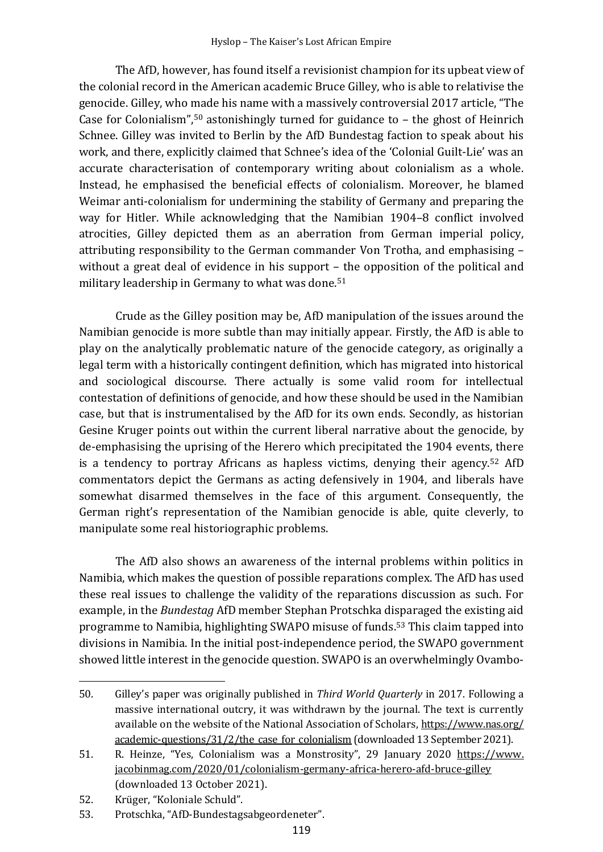The AfD, however, has found itself a revisionist champion for its upbeat view of the colonial record in the American academic Bruce Gilley, who is able to relativise the genocide. Gilley, who made his name with a massively controversial 2017 article, "The Case for Colonialism",<sup>50</sup> astonishingly turned for guidance to – the ghost of Heinrich Schnee. Gilley was invited to Berlin by the AfD Bundestag faction to speak about his work, and there, explicitly claimed that Schnee's idea of the 'Colonial Guilt-Lie' was an accurate characterisation of contemporary writing about colonialism as a whole. Instead, he emphasised the beneficial effects of colonialism. Moreover, he blamed Weimar anti-colonialism for undermining the stability of Germany and preparing the way for Hitler. While acknowledging that the Namibian 1904–8 conflict involved atrocities, Gilley depicted them as an aberration from German imperial policy, attributing responsibility to the German commander Von Trotha, and emphasising – without a great deal of evidence in his support – the opposition of the political and military leadership in Germany to what was done.<sup>51</sup>

Crude as the Gilley position may be, AfD manipulation of the issues around the Namibian genocide is more subtle than may initially appear. Firstly, the AfD is able to play on the analytically problematic nature of the genocide category, as originally a legal term with a historically contingent definition, which has migrated into historical and sociological discourse. There actually is some valid room for intellectual contestation of definitions of genocide, and how these should be used in the Namibian case, but that is instrumentalised by the AfD for its own ends. Secondly, as historian Gesine Kruger points out within the current liberal narrative about the genocide, by de-emphasising the uprising of the Herero which precipitated the 1904 events, there is a tendency to portray Africans as hapless victims, denying their agency.<sup>52</sup> AfD commentators depict the Germans as acting defensively in 1904, and liberals have somewhat disarmed themselves in the face of this argument. Consequently, the German right's representation of the Namibian genocide is able, quite cleverly, to manipulate some real historiographic problems.

The AfD also shows an awareness of the internal problems within politics in Namibia, which makes the question of possible reparations complex. The AfD has used these real issues to challenge the validity of the reparations discussion as such. For example, in the *Bundestag* AfD member Stephan Protschka disparaged the existing aid programme to Namibia, highlighting SWAPO misuse of funds. <sup>53</sup> This claim tapped into divisions in Namibia. In the initial post-independence period, the SWAPO government showed little interest in the genocide question. SWAPO is an overwhelmingly Ovambo-

<sup>50.</sup> Gilley's paper was originally published in *Third World Quarterly* in 2017. Following a massive international outcry, it was withdrawn by the journal. The text is currently available on the website of the National Association of Scholars, https://www.nas.org/ academic-questions/31/2/the\_case\_for\_colonialism (downloaded 13 September 2021).

<sup>51.</sup> R. Heinze, "Yes, Colonialism was a Monstrosity", 29 January 2020 https://www. jacobinmag.com/2020/01/colonialism-germany-africa-herero-afd-bruce-gilley (downloaded 13 October 2021).

<sup>52.</sup> Krüger, "Koloniale Schuld".

<sup>53.</sup> Protschka, "AfD-Bundestagsabgeordeneter".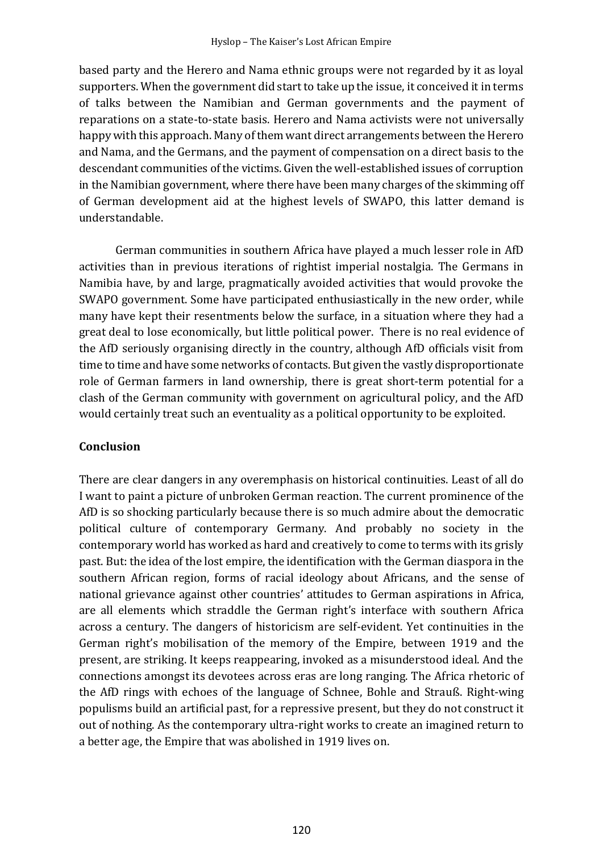based party and the Herero and Nama ethnic groups were not regarded by it as loyal supporters. When the government did start to take up the issue, it conceived it in terms of talks between the Namibian and German governments and the payment of reparations on a state-to-state basis. Herero and Nama activists were not universally happy with this approach. Many of them want direct arrangements between the Herero and Nama, and the Germans, and the payment of compensation on a direct basis to the descendant communities of the victims. Given the well-established issues of corruption in the Namibian government, where there have been many charges of the skimming off of German development aid at the highest levels of SWAPO, this latter demand is understandable.

German communities in southern Africa have played a much lesser role in AfD activities than in previous iterations of rightist imperial nostalgia. The Germans in Namibia have, by and large, pragmatically avoided activities that would provoke the SWAPO government. Some have participated enthusiastically in the new order, while many have kept their resentments below the surface, in a situation where they had a great deal to lose economically, but little political power. There is no real evidence of the AfD seriously organising directly in the country, although AfD officials visit from time to time and have some networks of contacts. But given the vastly disproportionate role of German farmers in land ownership, there is great short-term potential for a clash of the German community with government on agricultural policy, and the AfD would certainly treat such an eventuality as a political opportunity to be exploited.

### **Conclusion**

There are clear dangers in any overemphasis on historical continuities. Least of all do I want to paint a picture of unbroken German reaction. The current prominence of the AfD is so shocking particularly because there is so much admire about the democratic political culture of contemporary Germany. And probably no society in the contemporary world has worked as hard and creatively to come to terms with its grisly past. But: the idea of the lost empire, the identification with the German diaspora in the southern African region, forms of racial ideology about Africans, and the sense of national grievance against other countries' attitudes to German aspirations in Africa, are all elements which straddle the German right's interface with southern Africa across a century. The dangers of historicism are self-evident. Yet continuities in the German right's mobilisation of the memory of the Empire, between 1919 and the present, are striking. It keeps reappearing, invoked as a misunderstood ideal. And the connections amongst its devotees across eras are long ranging. The Africa rhetoric of the AfD rings with echoes of the language of Schnee, Bohle and Strauß. Right-wing populisms build an artificial past, for a repressive present, but they do not construct it out of nothing. As the contemporary ultra-right works to create an imagined return to a better age, the Empire that was abolished in 1919 lives on.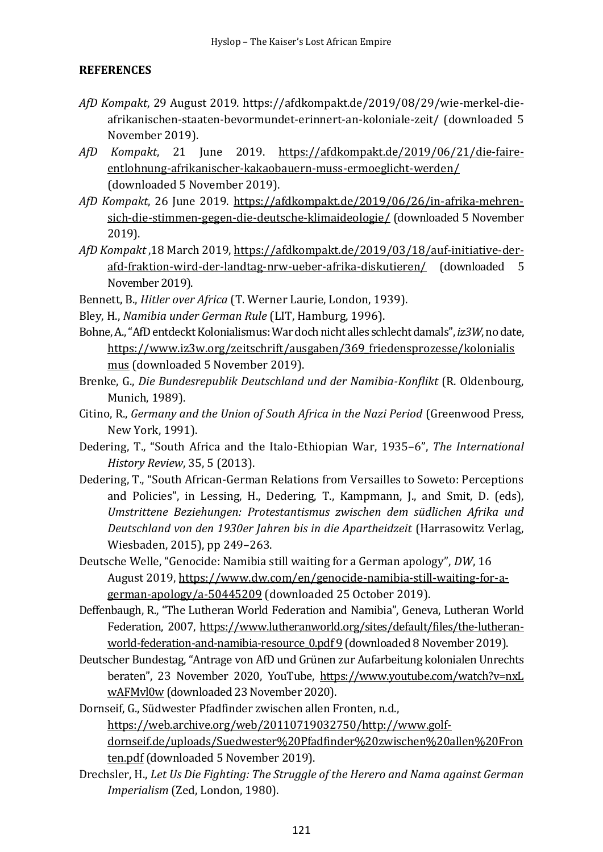## **REFERENCES**

- *AfD Kompakt*, 29 August 2019. https://afdkompakt.de/2019/08/29/wie-merkel-dieafrikanischen-staaten-bevormundet-erinnert-an-koloniale-zeit/ (downloaded 5 November 2019).
- *AfD Kompakt*, 21 June 2019. https://afdkompakt.de/2019/06/21/die-faireentlohnung-afrikanischer-kakaobauern-muss-ermoeglicht-werden/ (downloaded 5 November 2019).
- *AfD Kompakt*, 26 June 2019. https://afdkompakt.de/2019/06/26/in-afrika-mehrensich-die-stimmen-gegen-die-deutsche-klimaideologie/ (downloaded 5 November 2019).
- *AfD Kompakt* ,18 March 2019, https://afdkompakt.de/2019/03/18/auf-initiative-derafd-fraktion-wird-der-landtag-nrw-ueber-afrika-diskutieren/ (downloaded 5 November 2019).
- Bennett, B., *Hitler over Africa* (T. Werner Laurie, London, 1939).
- Bley, H., *Namibia under German Rule* (LIT, Hamburg, 1996).
- Bohne,A.,"AfD entdeckt Kolonialismus: War doch nicht alles schlecht damals", *iz3W*, no date, https://www.iz3w.org/zeitschrift/ausgaben/369\_friedensprozesse/kolonialis mus (downloaded 5 November 2019).
- Brenke, G., *Die Bundesrepublik Deutschland und der Namibia-Konflikt* (R. Oldenbourg, Munich, 1989).
- Citino, R., *Germany and the Union of South Africa in the Nazi Period* (Greenwood Press, New York, 1991).
- Dedering, T., "South Africa and the Italo-Ethiopian War, 1935–6", *The International History Review*, 35, 5 (2013).
- Dedering, T., "South African-German Relations from Versailles to Soweto: Perceptions and Policies", in Lessing, H., Dedering, T., Kampmann, J., and Smit, D. (eds), *Umstrittene Beziehungen: Protestantismus zwischen dem südlichen Afrika und Deutschland von den 1930er Jahren bis in die Apartheidzeit* (Harrasowitz Verlag, Wiesbaden, 2015), pp 249–263.
- Deutsche Welle, "Genocide: Namibia still waiting for a German apology", *DW*, 16 August 2019, https://www.dw.com/en/genocide-namibia-still-waiting-for-agerman-apology/a-50445209 (downloaded 25 October 2019).
- Deffenbaugh, R., "The Lutheran World Federation and Namibia", Geneva, Lutheran World Federation, 2007, https://www.lutheranworld.org/sites/default/files/the-lutheranworld-federation-and-namibia-resource 0.pdf 9 (downloaded 8 November 2019).
- Deutscher Bundestag, "Antrage von AfD und Grünen zur Aufarbeitung kolonialen Unrechts beraten", 23 November 2020, YouTube, https://www.youtube.com/watch?v=nxL wAFMvl0w (downloaded 23 November 2020).
- Dornseif, G., Südwester Pfadfinder zwischen allen Fronten, n.d., https://web.archive.org/web/20110719032750/http://www.golfdornseif.de/uploads/Suedwester%20Pfadfinder%20zwischen%20allen%20Fron ten.pdf (downloaded 5 November 2019).
- Drechsler, H., *Let Us Die Fighting: The Struggle of the Herero and Nama against German Imperialism* (Zed, London, 1980).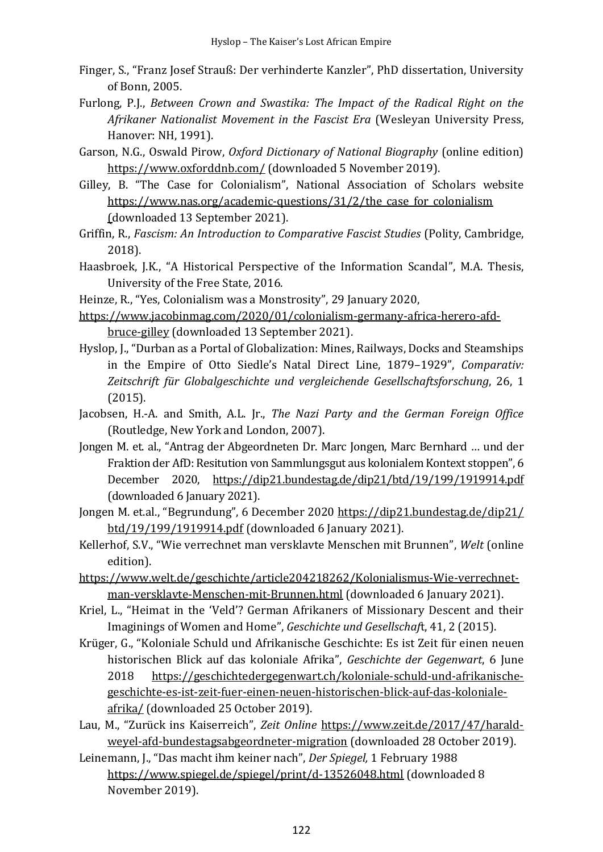- Finger, S., "Franz Josef Strauß: Der verhinderte Kanzler", PhD dissertation, University of Bonn, 2005.
- Furlong, P.J., *Between Crown and Swastika: The Impact of the Radical Right on the Afrikaner Nationalist Movement in the Fascist Era* (Wesleyan University Press, Hanover: NH, 1991).
- Garson, N.G., Oswald Pirow, *Oxford Dictionary of National Biography* (online edition) https://www.oxforddnb.com/ (downloaded 5 November 2019).
- Gilley, B. "The Case for Colonialism", National Association of Scholars website https://www.nas.org/academic-questions/31/2/the\_case\_for\_colonialism (downloaded 13 September 2021).

Griffin, R., *Fascism: An Introduction to Comparative Fascist Studies* (Polity, Cambridge, 2018).

- Haasbroek, J.K., "A Historical Perspective of the Information Scandal", M.A. Thesis, University of the Free State, 2016.
- Heinze, R., "Yes, Colonialism was a Monstrosity", 29 January 2020,
- https://www.jacobinmag.com/2020/01/colonialism-germany-africa-herero-afdbruce-gilley (downloaded 13 September 2021).
- Hyslop, J., "Durban as a Portal of Globalization: Mines, Railways, Docks and Steamships in the Empire of Otto Siedle's Natal Direct Line, 1879–1929", *Comparativ: Zeitschrift für Globalgeschichte und vergleichende Gesellschaftsforschung*, 26, 1 (2015).
- Jacobsen, H.-A. and Smith, A.L. Jr., *The Nazi Party and the German Foreign Office* (Routledge, New York and London, 2007).
- Jongen M. et. al., "Antrag der Abgeordneten Dr. Marc Jongen, Marc Bernhard … und der Fraktion der AfD: Resitution von Sammlungsgut aus kolonialem Kontext stoppen", 6 December 2020, https://dip21.bundestag.de/dip21/btd/19/199/1919914.pdf (downloaded 6 January 2021).
- Jongen M. et.al., "Begrundung", 6 December 2020 https://dip21.bundestag.de/dip21/ btd/19/199/1919914.pdf (downloaded 6 January 2021).
- Kellerhof, S.V., "Wie verrechnet man versklavte Menschen mit Brunnen", *Welt* (online edition).
- https://www.welt.de/geschichte/article204218262/Kolonialismus-Wie-verrechnetman-versklavte-Menschen-mit-Brunnen.html (downloaded 6 January 2021).
- Kriel, L., "Heimat in the 'Veld'? German Afrikaners of Missionary Descent and their Imaginings of Women and Home", *Geschichte und Gesellschaf*t, 41, 2 (2015).
- Krüger, G., "Koloniale Schuld und Afrikanische Geschichte: Es ist Zeit für einen neuen historischen Blick auf das koloniale Afrika", *Geschichte der Gegenwart*, 6 June 2018 https://geschichtedergegenwart.ch/koloniale-schuld-und-afrikanischegeschichte-es-ist-zeit-fuer-einen-neuen-historischen-blick-auf-das-kolonialeafrika/ (downloaded 25 October 2019).
- Lau, M., "Zurück ins Kaiserreich", *Zeit Online* https://www.zeit.de/2017/47/haraldweyel-afd-bundestagsabgeordneter-migration (downloaded 28 October 2019).
- Leinemann, J., "Das macht ihm keiner nach", *Der Spiegel,* 1 February 1988 https://www.spiegel.de/spiegel/print/d-13526048.html (downloaded 8 November 2019).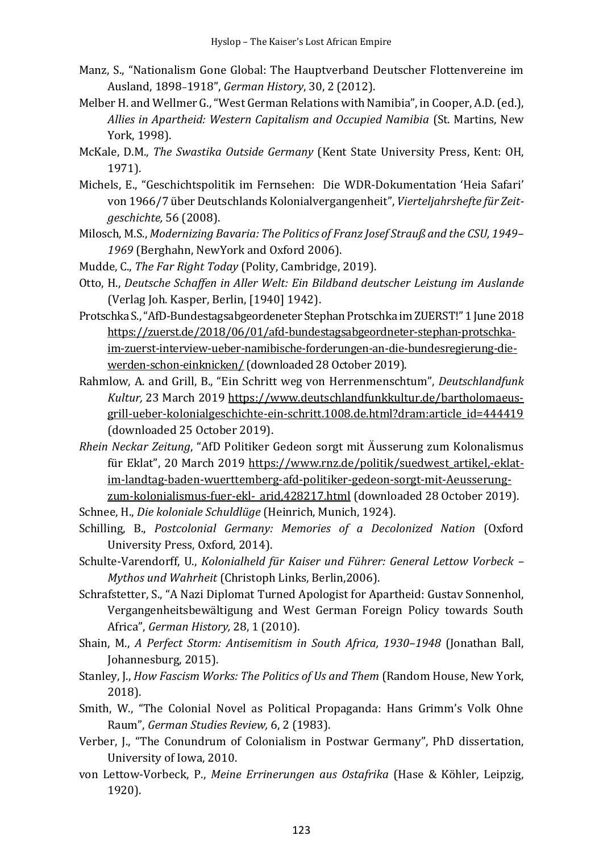- Manz, S., "Nationalism Gone Global: The Hauptverband Deutscher Flottenvereine im Ausland, 1898–1918", *German History*, 30, 2 (2012).
- Melber H. and Wellmer G., "West German Relations with Namibia", in Cooper, A.D.(ed.), *Allies in Apartheid: Western Capitalism and Occupied Namibia* (St. Martins, New York, 1998).
- McKale, D.M., *The Swastika Outside Germany* (Kent State University Press, Kent: OH, 1971).
- Michels, E., "Geschichtspolitik im Fernsehen: Die WDR-Dokumentation 'Heia Safari' von 1966/7 über Deutschlands Kolonialvergangenheit", *Vierteljahrshefte für Zeitgeschichte,* 56 (2008).
- Milosch, M.S., *Modernizing Bavaria: The Politics of Franz Josef Strauß and the CSU, 1949 1969* (Berghahn, NewYork and Oxford 2006).
- Mudde, C., *The Far Right Today* (Polity, Cambridge, 2019).
- Otto, H., *Deutsche Schaffen in Aller Welt: Ein Bildband deutscher Leistung im Auslande* (Verlag Joh. Kasper, Berlin, [1940] 1942).
- Protschka S., "AfD-Bundestagsabgeordeneter Stephan Protschka im ZUERST!" 1 June 2018 https://zuerst.de/2018/06/01/afd-bundestagsabgeordneter-stephan-protschkaim-zuerst-interview-ueber-namibische-forderungen-an-die-bundesregierung-diewerden-schon-einknicken/ (downloaded 28 October 2019).
- Rahmlow, A. and Grill, B., "Ein Schritt weg von Herrenmenschtum", *Deutschlandfunk Kultur,* 23 March 2019 https://www.deutschlandfunkkultur.de/bartholomaeusgrill-ueber-kolonialgeschichte-ein-schritt.1008.de.html?dram:article\_id=444419 (downloaded 25 October 2019).
- *Rhein Neckar Zeitung*, "AfD Politiker Gedeon sorgt mit Äusserung zum Kolonalismus für Eklat", 20 March 2019 https://www.rnz.de/politik/suedwest artikel,-eklatim-landtag-baden-wuerttemberg-afd-politiker-gedeon-sorgt-mit-Aeusserungzum-kolonialismus-fuer-ekl-\_arid,428217.html (downloaded 28 October 2019).

Schnee, H., *Die koloniale Schuldlüge* (Heinrich, Munich, 1924).

- Schilling, B., *Postcolonial Germany: Memories of a Decolonized Nation* (Oxford University Press, Oxford, 2014).
- Schulte-Varendorff, U., *Kolonialheld für Kaiser und Führer: General Lettow Vorbeck – Mythos und Wahrheit* (Christoph Links, Berlin,2006).
- Schrafstetter, S., "A Nazi Diplomat Turned Apologist for Apartheid: Gustav Sonnenhol, Vergangenheitsbewältigung and West German Foreign Policy towards South Africa", *German History,* 28, 1 (2010).
- Shain, M., *A Perfect Storm: Antisemitism in South Africa, 1930*–*1948* (Jonathan Ball, Johannesburg, 2015).
- Stanley, J., *How Fascism Works: The Politics of Us and Them* (Random House, New York, 2018).
- Smith, W., "The Colonial Novel as Political Propaganda: Hans Grimm's Volk Ohne Raum", *German Studies Review,* 6, 2 (1983).
- Verber, J., "The Conundrum of Colonialism in Postwar Germany", PhD dissertation, University of Iowa, 2010.
- von Lettow-Vorbeck, P., *Meine Errinerungen aus Ostafrika* (Hase & Köhler, Leipzig, 1920).